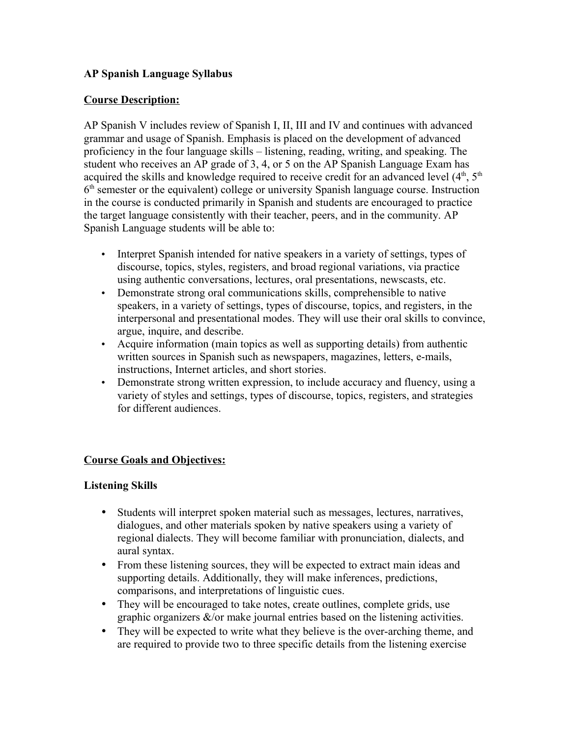## **AP Spanish Language Syllabus**

## **Course Description:**

AP Spanish V includes review of Spanish I, II, III and IV and continues with advanced grammar and usage of Spanish. Emphasis is placed on the development of advanced proficiency in the four language skills – listening, reading, writing, and speaking. The student who receives an AP grade of 3, 4, or 5 on the AP Spanish Language Exam has acquired the skills and knowledge required to receive credit for an advanced level (4<sup>th</sup>, 5<sup>th</sup>) 6<sup>th</sup> semester or the equivalent) college or university Spanish language course. Instruction in the course is conducted primarily in Spanish and students are encouraged to practice the target language consistently with their teacher, peers, and in the community. AP Spanish Language students will be able to:

- Interpret Spanish intended for native speakers in a variety of settings, types of discourse, topics, styles, registers, and broad regional variations, via practice using authentic conversations, lectures, oral presentations, newscasts, etc.
- Demonstrate strong oral communications skills, comprehensible to native speakers, in a variety of settings, types of discourse, topics, and registers, in the interpersonal and presentational modes. They will use their oral skills to convince, argue, inquire, and describe.
- Acquire information (main topics as well as supporting details) from authentic written sources in Spanish such as newspapers, magazines, letters, e-mails, instructions, Internet articles, and short stories.
- Demonstrate strong written expression, to include accuracy and fluency, using a variety of styles and settings, types of discourse, topics, registers, and strategies for different audiences.

## **Course Goals and Objectives:**

## **Listening Skills**

- Students will interpret spoken material such as messages, lectures, narratives, dialogues, and other materials spoken by native speakers using a variety of regional dialects. They will become familiar with pronunciation, dialects, and aural syntax.
- From these listening sources, they will be expected to extract main ideas and supporting details. Additionally, they will make inferences, predictions, comparisons, and interpretations of linguistic cues.
- They will be encouraged to take notes, create outlines, complete grids, use graphic organizers &/or make journal entries based on the listening activities.
- They will be expected to write what they believe is the over-arching theme, and are required to provide two to three specific details from the listening exercise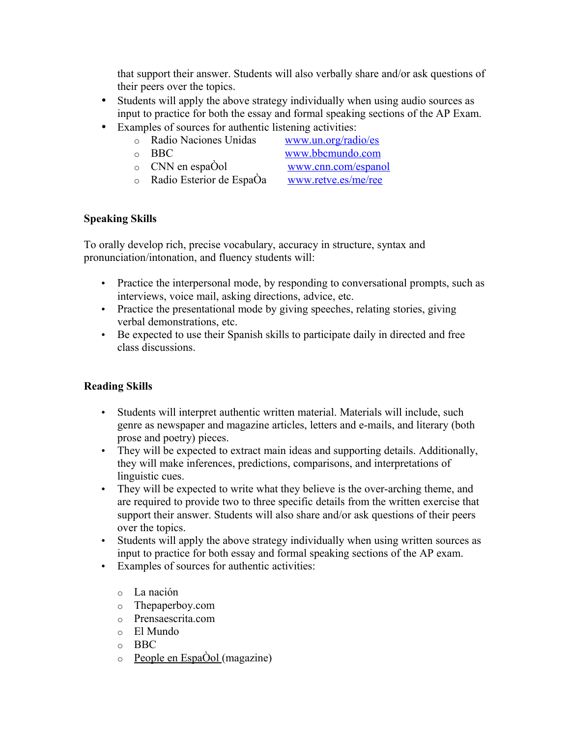that support their answer. Students will also verbally share and/or ask questions of their peers over the topics.

- Students will apply the above strategy individually when using audio sources as input to practice for both the essay and formal speaking sections of the AP Exam.
- Examples of sources for authentic listening activities:
	- o Radio Naciones Unidas [www.un.org/radio/es](http://www.un.org/radio/es)
	-

o BBC [www.bbcmundo.com](http://www.bbcmundo.com/)

o CNN en espaÔol [www.cnn.com/espanol](http://www.cnn.com/espanol)

 $\circ$  Radio Esterior de Espa $\alpha$  [www.retve.es/me/ree](http://www.retve.es/me/ree)

## **Speaking Skills**

To orally develop rich, precise vocabulary, accuracy in structure, syntax and pronunciation/intonation, and fluency students will:

- Practice the interpersonal mode, by responding to conversational prompts, such as interviews, voice mail, asking directions, advice, etc.
- Practice the presentational mode by giving speeches, relating stories, giving verbal demonstrations, etc.
- Be expected to use their Spanish skills to participate daily in directed and free class discussions.

# **Reading Skills**

- Students will interpret authentic written material. Materials will include, such genre as newspaper and magazine articles, letters and e-mails, and literary (both prose and poetry) pieces.
- They will be expected to extract main ideas and supporting details. Additionally, they will make inferences, predictions, comparisons, and interpretations of linguistic cues.
- They will be expected to write what they believe is the over-arching theme, and are required to provide two to three specific details from the written exercise that support their answer. Students will also share and/or ask questions of their peers over the topics.
- Students will apply the above strategy individually when using written sources as input to practice for both essay and formal speaking sections of the AP exam.
- Examples of sources for authentic activities:
	- o La nación
	- o Thepaperboy.com
	- o Prensaescrita.com
	- o El Mundo
	- o BBC
	- $\circ$  People en Espa $\dot{O}$ ol (magazine)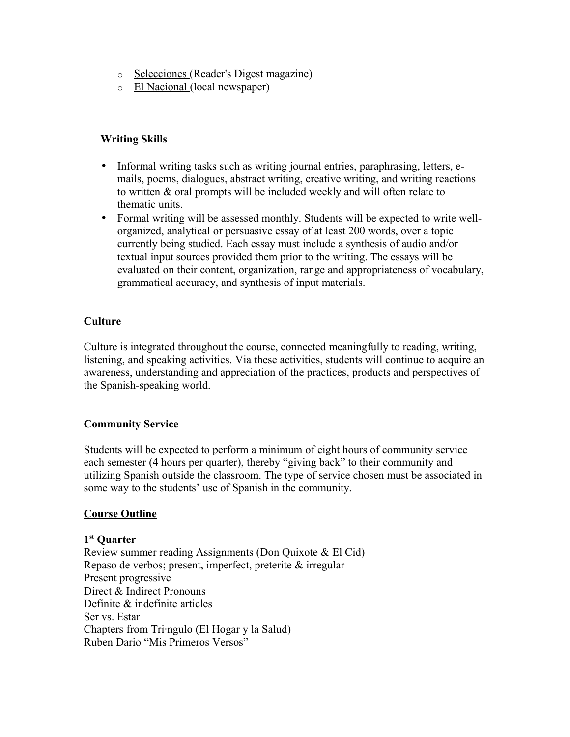- o Selecciones (Reader's Digest magazine)
- o El Nacional (local newspaper)

## **Writing Skills**

- Informal writing tasks such as writing journal entries, paraphrasing, letters, emails, poems, dialogues, abstract writing, creative writing, and writing reactions to written & oral prompts will be included weekly and will often relate to thematic units.
- Formal writing will be assessed monthly. Students will be expected to write wellorganized, analytical or persuasive essay of at least 200 words, over a topic currently being studied. Each essay must include a synthesis of audio and/or textual input sources provided them prior to the writing. The essays will be evaluated on their content, organization, range and appropriateness of vocabulary, grammatical accuracy, and synthesis of input materials.

## **Culture**

Culture is integrated throughout the course, connected meaningfully to reading, writing, listening, and speaking activities. Via these activities, students will continue to acquire an awareness, understanding and appreciation of the practices, products and perspectives of the Spanish-speaking world.

## **Community Service**

Students will be expected to perform a minimum of eight hours of community service each semester (4 hours per quarter), thereby "giving back" to their community and utilizing Spanish outside the classroom. The type of service chosen must be associated in some way to the students' use of Spanish in the community.

## **Course Outline**

## **1 st Quarter**

Review summer reading Assignments (Don Quixote & El Cid) Repaso de verbos; present, imperfect, preterite & irregular Present progressive Direct & Indirect Pronouns Definite & indefinite articles Ser vs. Estar Chapters from Tringulo (El Hogar y la Salud) Ruben Dario "Mis Primeros Versos"